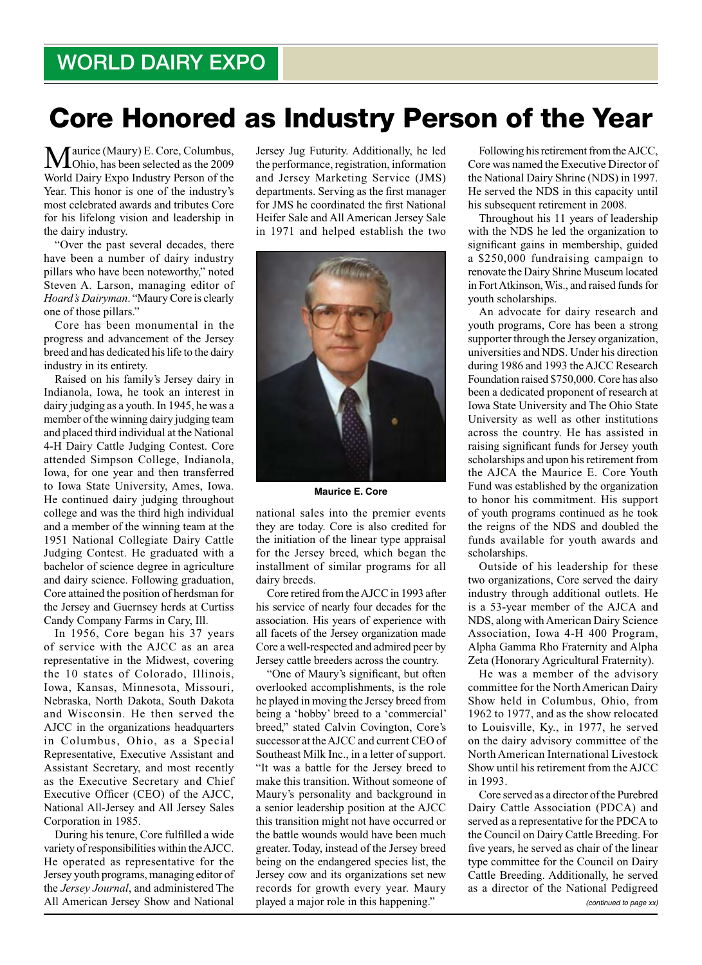## Core Honored as Industry Person of the Year

Maurice (Maury) E. Core, Columbus, Ohio, has been selected as the 2009 World Dairy Expo Industry Person of the Year. This honor is one of the industry's most celebrated awards and tributes Core for his lifelong vision and leadership in the dairy industry.

"Over the past several decades, there have been a number of dairy industry pillars who have been noteworthy," noted Steven A. Larson, managing editor of *Hoard's Dairyman*. "Maury Core is clearly one of those pillars."

Core has been monumental in the progress and advancement of the Jersey breed and has dedicated his life to the dairy industry in its entirety.

Raised on his family's Jersey dairy in Indianola, Iowa, he took an interest in dairy judging as a youth. In 1945, he was a member of the winning dairy judging team and placed third individual at the National 4-H Dairy Cattle Judging Contest. Core attended Simpson College, Indianola, Iowa, for one year and then transferred to Iowa State University, Ames, Iowa. He continued dairy judging throughout college and was the third high individual and a member of the winning team at the 1951 National Collegiate Dairy Cattle Judging Contest. He graduated with a bachelor of science degree in agriculture and dairy science. Following graduation, Core attained the position of herdsman for the Jersey and Guernsey herds at Curtiss Candy Company Farms in Cary, Ill.

In 1956, Core began his 37 years of service with the AJCC as an area representative in the Midwest, covering the 10 states of Colorado, Illinois, Iowa, Kansas, Minnesota, Missouri, Nebraska, North Dakota, South Dakota and Wisconsin. He then served the AJCC in the organizations headquarters in Columbus, Ohio, as a Special Representative, Executive Assistant and Assistant Secretary, and most recently as the Executive Secretary and Chief Executive Officer (CEO) of the AJCC, National All-Jersey and All Jersey Sales Corporation in 1985.

During his tenure, Core fulfilled a wide variety of responsibilities within the AJCC. He operated as representative for the Jersey youth programs, managing editor of the *Jersey Journal*, and administered The All American Jersey Show and National

Jersey Jug Futurity. Additionally, he led the performance, registration, information and Jersey Marketing Service (JMS) departments. Serving as the first manager for JMS he coordinated the first National Heifer Sale and All American Jersey Sale in 1971 and helped establish the two



**Maurice E. Core**

national sales into the premier events they are today. Core is also credited for the initiation of the linear type appraisal for the Jersey breed, which began the installment of similar programs for all dairy breeds.

Core retired from the AJCC in 1993 after his service of nearly four decades for the association. His years of experience with all facets of the Jersey organization made Core a well-respected and admired peer by Jersey cattle breeders across the country.

"One of Maury's significant, but often overlooked accomplishments, is the role he played in moving the Jersey breed from being a 'hobby' breed to a 'commercial' breed," stated Calvin Covington, Core's successor at the AJCC and current CEO of Southeast Milk Inc., in a letter of support. "It was a battle for the Jersey breed to make this transition. Without someone of Maury's personality and background in a senior leadership position at the AJCC this transition might not have occurred or the battle wounds would have been much greater. Today, instead of the Jersey breed being on the endangered species list, the Jersey cow and its organizations set new records for growth every year. Maury played a major role in this happening."

 Following his retirement from the AJCC, Core was named the Executive Director of the National Dairy Shrine (NDS) in 1997. He served the NDS in this capacity until his subsequent retirement in 2008.

Throughout his 11 years of leadership with the NDS he led the organization to significant gains in membership, guided a \$250,000 fundraising campaign to renovate the Dairy Shrine Museum located in Fort Atkinson, Wis., and raised funds for youth scholarships.

An advocate for dairy research and youth programs, Core has been a strong supporter through the Jersey organization, universities and NDS. Under his direction during 1986 and 1993 the AJCC Research Foundation raised \$750,000. Core has also been a dedicated proponent of research at Iowa State University and The Ohio State University as well as other institutions across the country. He has assisted in raising significant funds for Jersey youth scholarships and upon his retirement from the AJCA the Maurice E. Core Youth Fund was established by the organization to honor his commitment. His support of youth programs continued as he took the reigns of the NDS and doubled the funds available for youth awards and scholarships.

Outside of his leadership for these two organizations, Core served the dairy industry through additional outlets. He is a 53-year member of the AJCA and NDS, along with American Dairy Science Association, Iowa 4-H 400 Program, Alpha Gamma Rho Fraternity and Alpha Zeta (Honorary Agricultural Fraternity).

He was a member of the advisory committee for the North American Dairy Show held in Columbus, Ohio, from 1962 to 1977, and as the show relocated to Louisville, Ky., in 1977, he served on the dairy advisory committee of the North American International Livestock Show until his retirement from the AJCC in 1993.

Core served as a director of the Purebred Dairy Cattle Association (PDCA) and served as a representative for the PDCA to the Council on Dairy Cattle Breeding. For five years, he served as chair of the linear type committee for the Council on Dairy Cattle Breeding. Additionally, he served as a director of the National Pedigreed *(continued to page xx)*